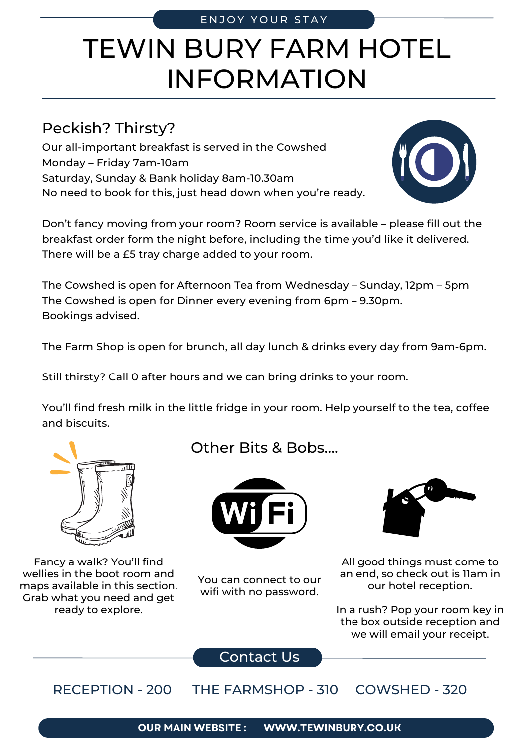## TEWIN BURY FARM HOTEL INFORMATION

## Peckish? Thirsty?

Our all-important breakfast is served in the Cowshed Monday – Friday 7am-10am Saturday, Sunday & Bank holiday 8am-10.30am No need to book for this, just head down when you're ready.

Don't fancy moving from your room? Room service is available – please fill out the breakfast order form the night before, including the time you'd like it delivered. There will be a £5 tray charge added to your room.

The Cowshed is open for Afternoon Tea from Wednesday – Sunday, 12pm – 5pm The Cowshed is open for Dinner every evening from 6pm – 9.30pm. Bookings advised.

The Farm Shop is open for brunch, all day lunch & drinks every day from 9am-6pm.

Still thirsty? Call 0 after hours and we can bring drinks to your room.

You'll find fresh milk in the little fridge in your room. Help yourself to the tea, coffee and biscuits.

## Fancy a walk? You'll find wellies in the boot room and maps available in this section.

Grab what you need and get ready to explore.

Other Bits & Bobs….



You can connect to our wifi with no password.



All good things must come to an end, so check out is 11am in our hotel reception.

In a rush? Pop your room key in the box outside reception and we will email your receipt.

Contact Us

RECEPTION - 200 THE FARMSHOP - 310 COWSHED - 320



ENJOY YOUR STAY